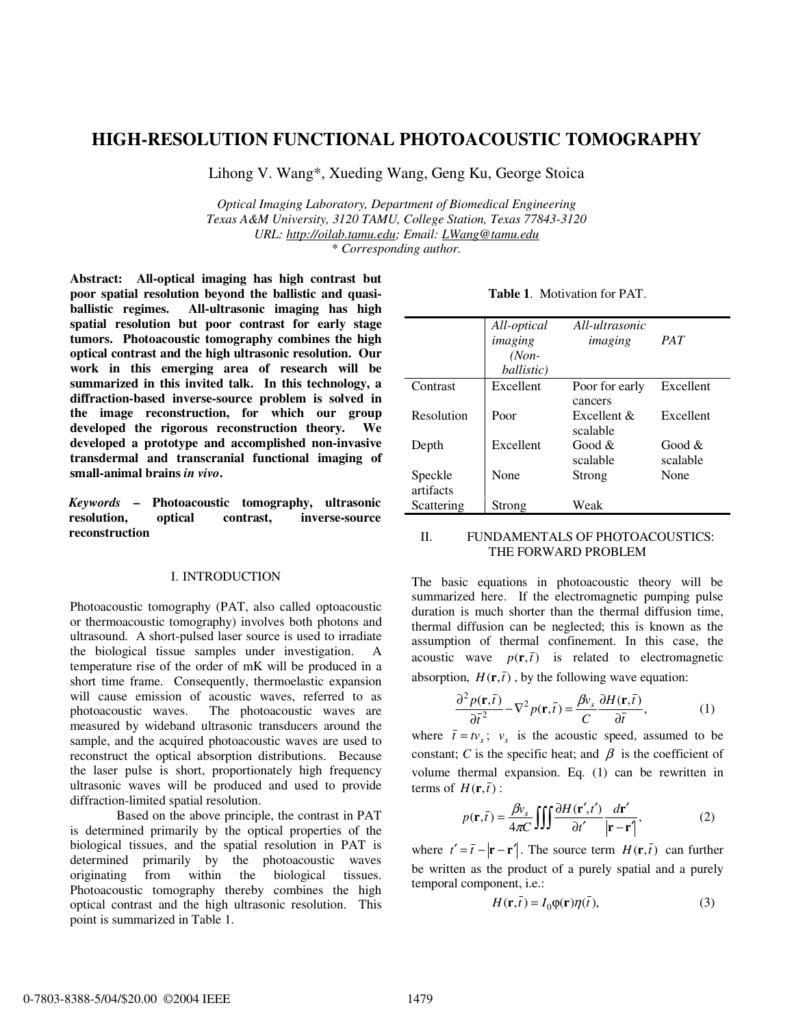# **HIGH-RESOLUTION FUNCTIONAL PHOTOACOUSTIC TOMOGRAPHY**

Lihong V. Wang\*, Xueding Wang, Geng Ku, George Stoica

*Optical Imaging Laboratory, Department of Biomedical Engineering Texas A&M University, 3120 TAMU, College Station, Texas 77843-3120 URL: http://oilab.tamu.edu; Email: LWang@tamu.edu* \* *Corresponding author.* 

**Abstract: All-optical imaging has high contrast but poor spatial resolution beyond the ballistic and quasiballistic regimes. All-ultrasonic imaging has high spatial resolution but poor contrast for early stage tumors. Photoacoustic tomography combines the high optical contrast and the high ultrasonic resolution. Our work in this emerging area of research will be summarized in this invited talk. In this technology, a diffraction-based inverse-source problem is solved in the image reconstruction, for which our group developed the rigorous reconstruction theory. We developed a prototype and accomplished non-invasive transdermal and transcranial functional imaging of small-animal brains** *in vivo***.** 

*Keywords* **– Photoacoustic tomography, ultrasonic resolution, optical contrast, inverse-source reconstruction** 

### I. INTRODUCTION

Photoacoustic tomography (PAT, also called optoacoustic or thermoacoustic tomography) involves both photons and ultrasound. A short-pulsed laser source is used to irradiate the biological tissue samples under investigation. A temperature rise of the order of mK will be produced in a short time frame. Consequently, thermoelastic expansion will cause emission of acoustic waves, referred to as photoacoustic waves. The photoacoustic waves are measured by wideband ultrasonic transducers around the sample, and the acquired photoacoustic waves are used to reconstruct the optical absorption distributions. Because the laser pulse is short, proportionately high frequency ultrasonic waves will be produced and used to provide diffraction-limited spatial resolution.

 Based on the above principle, the contrast in PAT is determined primarily by the optical properties of the biological tissues, and the spatial resolution in PAT is determined primarily by the photoacoustic waves originating from within the biological tissues. Photoacoustic tomography thereby combines the high optical contrast and the high ultrasonic resolution. This point is summarized in Table 1.

**Table 1**. Motivation for PAT.

|                      | All-optical<br>imaging<br>$(Non-$<br><i>ballistic</i> ) | All-ultrasonic<br>imaging  | <b>PAT</b>           |
|----------------------|---------------------------------------------------------|----------------------------|----------------------|
| Contrast             | Excellent                                               | Poor for early<br>cancers  | Excellent            |
| Resolution           | Poor                                                    | Excellent $\&$<br>scalable | Excellent            |
| Depth                | Excellent                                               | Good $\&$<br>scalable      | Good $&$<br>scalable |
| Speckle<br>artifacts | None                                                    | Strong                     | None                 |
| Scattering           | Strong                                                  | Weak                       |                      |

#### II. FUNDAMENTALS OF PHOTOACOUSTICS: THE FORWARD PROBLEM

The basic equations in photoacoustic theory will be summarized here. If the electromagnetic pumping pulse duration is much shorter than the thermal diffusion time, thermal diffusion can be neglected; this is known as the assumption of thermal confinement. In this case, the acoustic wave  $p(\mathbf{r},\bar{t})$  is related to electromagnetic absorption,  $H(\mathbf{r}, \bar{t})$ , by the following wave equation:

$$
\frac{\partial^2 p(\mathbf{r}, \bar{t})}{\partial \bar{t}^2} - \nabla^2 p(\mathbf{r}, \bar{t}) = \frac{\beta v_s}{C} \frac{\partial H(\mathbf{r}, \bar{t})}{\partial \bar{t}},
$$
(1)

where  $\bar{t} = tv_s$ ;  $v_s$  is the acoustic speed, assumed to be constant; *C* is the specific heat; and  $\beta$  is the coefficient of volume thermal expansion. Eq. (1) can be rewritten in terms of  $H(\mathbf{r}, \bar{t})$ :

$$
p(\mathbf{r},\bar{t}) = \frac{\beta v_s}{4\pi C} \iiint \frac{\partial H(\mathbf{r}',t')}{\partial t'} \frac{d\mathbf{r}'}{|\mathbf{r} - \mathbf{r}'|},
$$
(2)

where  $t' = \bar{t} - |\mathbf{r} - \mathbf{r}'|$ . The source term  $H(\mathbf{r}, \bar{t})$  can further be written as the product of a purely spatial and a purely temporal component, i.e.:

$$
H(\mathbf{r}, \bar{t}) = I_0 \varphi(\mathbf{r}) \eta(\bar{t}), \tag{3}
$$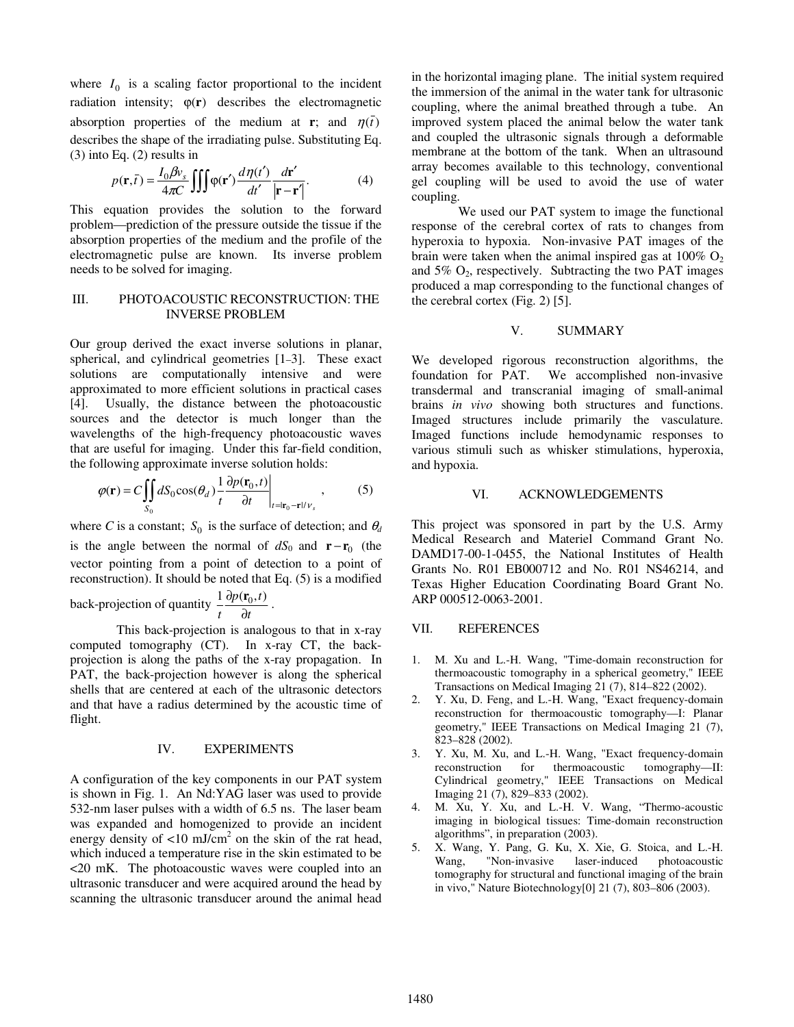where  $I_0$  is a scaling factor proportional to the incident radiation intensity;  $\varphi(\mathbf{r})$  describes the electromagnetic absorption properties of the medium at **r**; and  $\eta(\bar{t})$ describes the shape of the irradiating pulse. Substituting Eq. (3) into Eq. (2) results in

$$
p(\mathbf{r}, \bar{t}) = \frac{I_0 \beta v_s}{4\pi C} \iiint \varphi(\mathbf{r}') \frac{d\eta(t')}{dt'} \frac{d\mathbf{r}'}{|\mathbf{r} - \mathbf{r}'|}. \tag{4}
$$

This equation provides the solution to the forward problem—prediction of the pressure outside the tissue if the absorption properties of the medium and the profile of the electromagnetic pulse are known. Its inverse problem needs to be solved for imaging.

# III. PHOTOACOUSTIC RECONSTRUCTION: THE INVERSE PROBLEM

Our group derived the exact inverse solutions in planar, spherical, and cylindrical geometries [1–3]. These exact solutions are computationally intensive and were approximated to more efficient solutions in practical cases [4]. Usually, the distance between the photoacoustic sources and the detector is much longer than the wavelengths of the high-frequency photoacoustic waves that are useful for imaging. Under this far-field condition, the following approximate inverse solution holds:

$$
\varphi(\mathbf{r}) = C \iint_{S_0} dS_0 \cos(\theta_d) \frac{1}{t} \frac{\partial p(\mathbf{r}_0, t)}{\partial t} \bigg|_{t = |\mathbf{r}_0 - \mathbf{r}|/V_s}, \tag{5}
$$

where *C* is a constant;  $S_0$  is the surface of detection; and  $\theta_d$ is the angle between the normal of  $dS_0$  and  $\mathbf{r} - \mathbf{r}_0$  (the vector pointing from a point of detection to a point of reconstruction). It should be noted that Eq. (5) is a modified  $p(\mathbf{r}_0,t)$ 

back-projection of quantity  $\frac{1}{t} \frac{\partial p \cdot \mathbf{r}}{\partial t}$  $rac{1}{t} \frac{\partial p(\mathbf{r}_0,t)}{\partial t}$ . This back-projection is analogous to that in x-ray

computed tomography (CT). In x-ray CT, the backprojection is along the paths of the x-ray propagation. In PAT, the back-projection however is along the spherical shells that are centered at each of the ultrasonic detectors and that have a radius determined by the acoustic time of flight.

#### IV. EXPERIMENTS

A configuration of the key components in our PAT system is shown in Fig. 1. An Nd:YAG laser was used to provide 532-nm laser pulses with a width of 6.5 ns. The laser beam was expanded and homogenized to provide an incident energy density of  $\langle 10 \text{ mJ/cm}^2$  on the skin of the rat head, which induced a temperature rise in the skin estimated to be <20 mK. The photoacoustic waves were coupled into an ultrasonic transducer and were acquired around the head by scanning the ultrasonic transducer around the animal head

in the horizontal imaging plane. The initial system required the immersion of the animal in the water tank for ultrasonic coupling, where the animal breathed through a tube. An improved system placed the animal below the water tank and coupled the ultrasonic signals through a deformable membrane at the bottom of the tank. When an ultrasound array becomes available to this technology, conventional gel coupling will be used to avoid the use of water coupling.

 We used our PAT system to image the functional response of the cerebral cortex of rats to changes from hyperoxia to hypoxia. Non-invasive PAT images of the brain were taken when the animal inspired gas at  $100\%$  O<sub>2</sub> and  $5\%$  O<sub>2</sub>, respectively. Subtracting the two PAT images produced a map corresponding to the functional changes of the cerebral cortex (Fig. 2) [5].

## V. SUMMARY

We developed rigorous reconstruction algorithms, the foundation for PAT. We accomplished non-invasive transdermal and transcranial imaging of small-animal brains *in vivo* showing both structures and functions. Imaged structures include primarily the vasculature. Imaged functions include hemodynamic responses to various stimuli such as whisker stimulations, hyperoxia, and hypoxia.

## VI. ACKNOWLEDGEMENTS

This project was sponsored in part by the U.S. Army Medical Research and Materiel Command Grant No. DAMD17-00-1-0455, the National Institutes of Health Grants No. R01 EB000712 and No. R01 NS46214, and Texas Higher Education Coordinating Board Grant No. ARP 000512-0063-2001.

#### VII. REFERENCES

- 1. M. Xu and L.-H. Wang, "Time-domain reconstruction for thermoacoustic tomography in a spherical geometry," IEEE Transactions on Medical Imaging 21 (7), 814–822 (2002).
- 2. Y. Xu, D. Feng, and L.-H. Wang, "Exact frequency-domain reconstruction for thermoacoustic tomography—I: Planar geometry," IEEE Transactions on Medical Imaging 21 (7), 823–828 (2002).
- 3. Y. Xu, M. Xu, and L.-H. Wang, "Exact frequency-domain reconstruction for thermoacoustic tomography—II: Cylindrical geometry," IEEE Transactions on Medical Imaging 21 (7), 829–833 (2002).
- 4. M. Xu, Y. Xu, and L.-H. V. Wang, "Thermo-acoustic imaging in biological tissues: Time-domain reconstruction algorithms", in preparation (2003).
- 5. X. Wang, Y. Pang, G. Ku, X. Xie, G. Stoica, and L.-H. Wang, "Non-invasive laser-induced photoacoustic tomography for structural and functional imaging of the brain in vivo," Nature Biotechnology[0] 21 (7), 803–806 (2003).